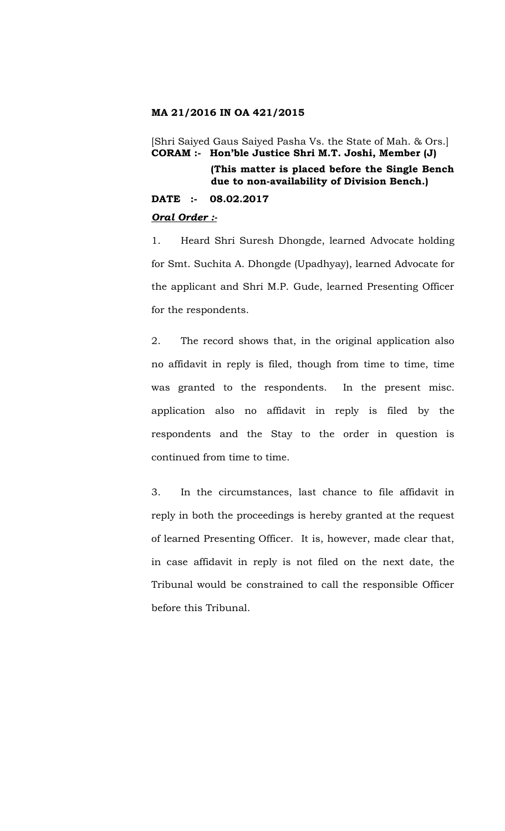#### **MA 21/2016 IN OA 421/2015**

[Shri Saiyed Gaus Saiyed Pasha Vs. the State of Mah. & Ors.] **CORAM :- Hon'ble Justice Shri M.T. Joshi, Member (J) (This matter is placed before the Single Bench** 

**due to non-availability of Division Bench.)**

**DATE :- 08.02.2017**

# *Oral Order :-*

1. Heard Shri Suresh Dhongde, learned Advocate holding for Smt. Suchita A. Dhongde (Upadhyay), learned Advocate for the applicant and Shri M.P. Gude, learned Presenting Officer for the respondents.

2. The record shows that, in the original application also no affidavit in reply is filed, though from time to time, time was granted to the respondents. In the present misc. application also no affidavit in reply is filed by the respondents and the Stay to the order in question is continued from time to time.

3. In the circumstances, last chance to file affidavit in reply in both the proceedings is hereby granted at the request of learned Presenting Officer. It is, however, made clear that, in case affidavit in reply is not filed on the next date, the Tribunal would be constrained to call the responsible Officer before this Tribunal.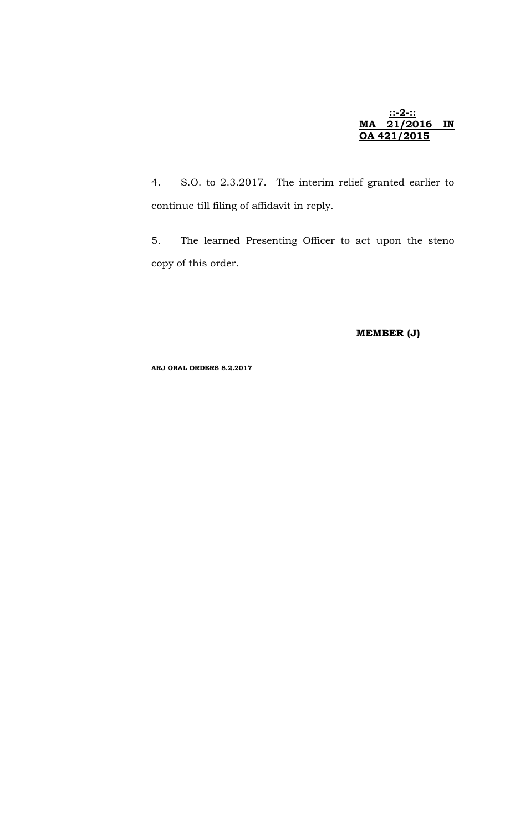#### **::-2-:: MA 21/2016 IN OA 421/2015**

4. S.O. to 2.3.2017. The interim relief granted earlier to continue till filing of affidavit in reply.

5. The learned Presenting Officer to act upon the steno copy of this order.

**MEMBER (J)**

**ARJ ORAL ORDERS 8.2.2017**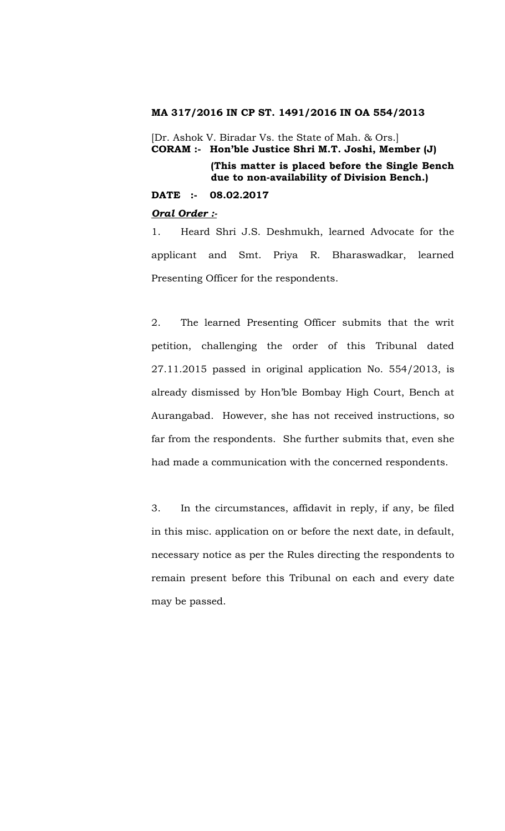#### **MA 317/2016 IN CP ST. 1491/2016 IN OA 554/2013**

[Dr. Ashok V. Biradar Vs. the State of Mah. & Ors.] **CORAM :- Hon'ble Justice Shri M.T. Joshi, Member (J)**

> **(This matter is placed before the Single Bench due to non-availability of Division Bench.)**

#### **DATE :- 08.02.2017**

#### *Oral Order :-*

1. Heard Shri J.S. Deshmukh, learned Advocate for the applicant and Smt. Priya R. Bharaswadkar, learned Presenting Officer for the respondents.

2. The learned Presenting Officer submits that the writ petition, challenging the order of this Tribunal dated 27.11.2015 passed in original application No. 554/2013, is already dismissed by Hon'ble Bombay High Court, Bench at Aurangabad. However, she has not received instructions, so far from the respondents. She further submits that, even she had made a communication with the concerned respondents.

3. In the circumstances, affidavit in reply, if any, be filed in this misc. application on or before the next date, in default, necessary notice as per the Rules directing the respondents to remain present before this Tribunal on each and every date may be passed.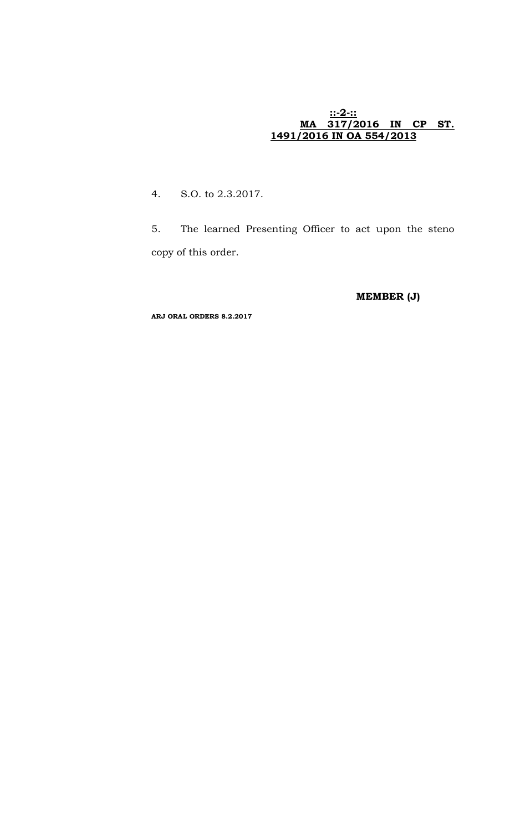#### **::-2-:: MA 317/2016 IN CP ST. 1491/2016 IN OA 554/2013**

4. S.O. to 2.3.2017.

5. The learned Presenting Officer to act upon the steno copy of this order.

**MEMBER (J)**

**ARJ ORAL ORDERS 8.2.2017**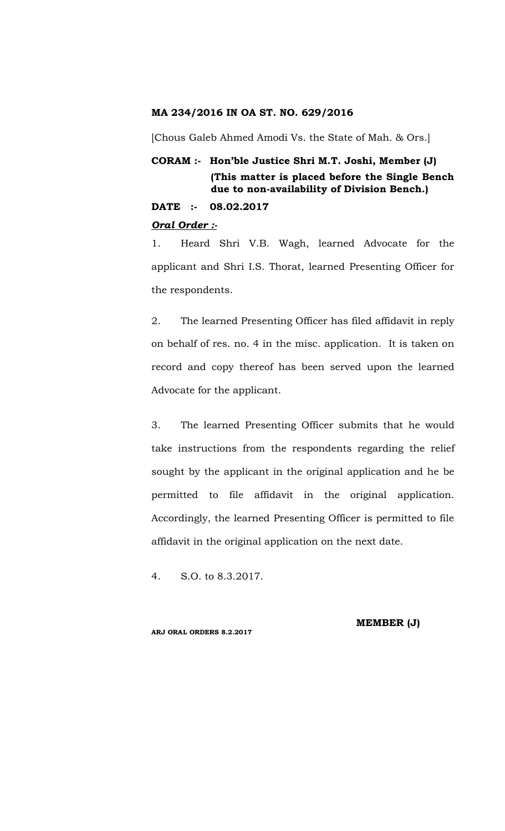#### **MA 234/2016 IN OA ST. NO. 629/2016**

[Chous Galeb Ahmed Amodi Vs. the State of Mah. & Ors.]

# **CORAM :- Hon'ble Justice Shri M.T. Joshi, Member (J) (This matter is placed before the Single Bench due to non-availability of Division Bench.)**

**DATE :- 08.02.2017**

#### *Oral Order :-*

1. Heard Shri V.B. Wagh, learned Advocate for the applicant and Shri I.S. Thorat, learned Presenting Officer for the respondents.

2. The learned Presenting Officer has filed affidavit in reply on behalf of res. no. 4 in the misc. application. It is taken on record and copy thereof has been served upon the learned Advocate for the applicant.

3. The learned Presenting Officer submits that he would take instructions from the respondents regarding the relief sought by the applicant in the original application and he be permitted to file affidavit in the original application. Accordingly, the learned Presenting Officer is permitted to file affidavit in the original application on the next date.

4. S.O. to 8.3.2017.

**ARJ ORAL ORDERS 8.2.2017**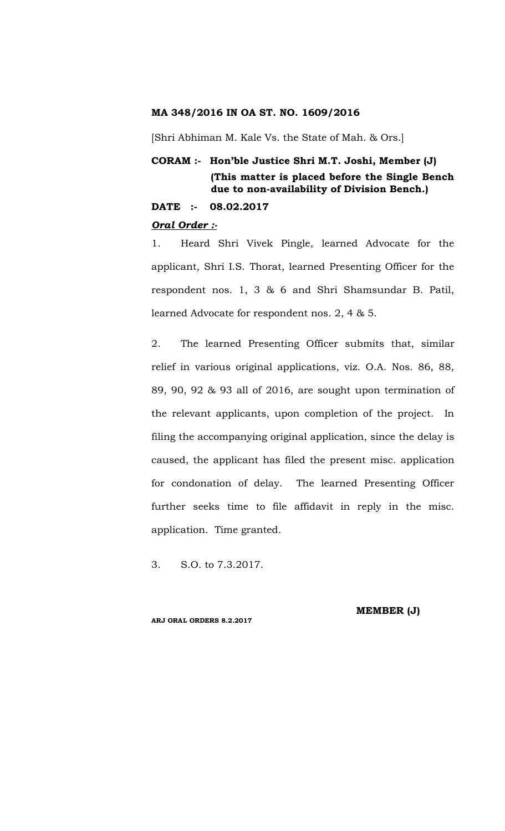# **MA 348/2016 IN OA ST. NO. 1609/2016**

[Shri Abhiman M. Kale Vs. the State of Mah. & Ors.]

# **CORAM :- Hon'ble Justice Shri M.T. Joshi, Member (J) (This matter is placed before the Single Bench due to non-availability of Division Bench.)**

**DATE :- 08.02.2017**

#### *Oral Order :-*

1. Heard Shri Vivek Pingle, learned Advocate for the applicant, Shri I.S. Thorat, learned Presenting Officer for the respondent nos. 1, 3 & 6 and Shri Shamsundar B. Patil, learned Advocate for respondent nos. 2, 4 & 5.

2. The learned Presenting Officer submits that, similar relief in various original applications, viz. O.A. Nos. 86, 88, 89, 90, 92 & 93 all of 2016, are sought upon termination of the relevant applicants, upon completion of the project. In filing the accompanying original application, since the delay is caused, the applicant has filed the present misc. application for condonation of delay. The learned Presenting Officer further seeks time to file affidavit in reply in the misc. application. Time granted.

3. S.O. to 7.3.2017.

**ARJ ORAL ORDERS 8.2.2017**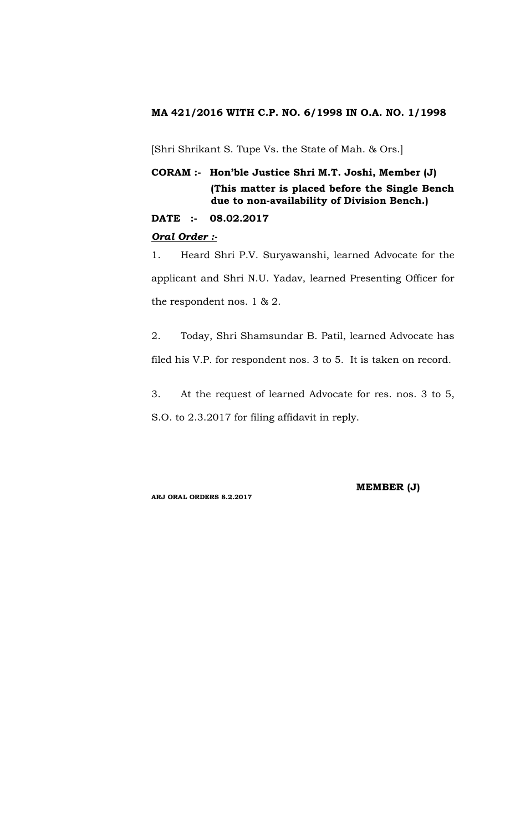# **MA 421/2016 WITH C.P. NO. 6/1998 IN O.A. NO. 1/1998**

[Shri Shrikant S. Tupe Vs. the State of Mah. & Ors.]

# **CORAM :- Hon'ble Justice Shri M.T. Joshi, Member (J) (This matter is placed before the Single Bench due to non-availability of Division Bench.)**

**DATE :- 08.02.2017**

# *Oral Order :-*

1. Heard Shri P.V. Suryawanshi, learned Advocate for the applicant and Shri N.U. Yadav, learned Presenting Officer for the respondent nos. 1 & 2.

2. Today, Shri Shamsundar B. Patil, learned Advocate has filed his V.P. for respondent nos. 3 to 5. It is taken on record.

3. At the request of learned Advocate for res. nos. 3 to 5, S.O. to 2.3.2017 for filing affidavit in reply.

**ARJ ORAL ORDERS 8.2.2017**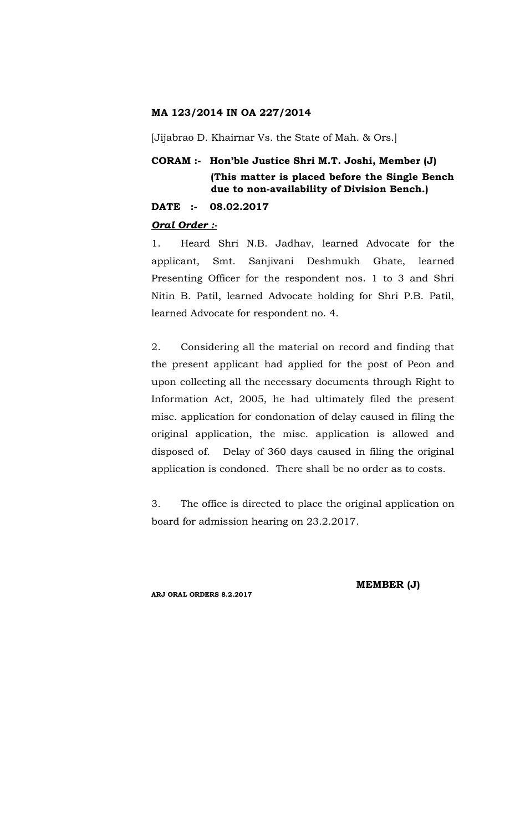# **MA 123/2014 IN OA 227/2014**

[Jijabrao D. Khairnar Vs. the State of Mah. & Ors.]

# **CORAM :- Hon'ble Justice Shri M.T. Joshi, Member (J) (This matter is placed before the Single Bench due to non-availability of Division Bench.)**

**DATE :- 08.02.2017**

#### *Oral Order :-*

1. Heard Shri N.B. Jadhav, learned Advocate for the applicant, Smt. Sanjivani Deshmukh Ghate, learned Presenting Officer for the respondent nos. 1 to 3 and Shri Nitin B. Patil, learned Advocate holding for Shri P.B. Patil, learned Advocate for respondent no. 4.

2. Considering all the material on record and finding that the present applicant had applied for the post of Peon and upon collecting all the necessary documents through Right to Information Act, 2005, he had ultimately filed the present misc. application for condonation of delay caused in filing the original application, the misc. application is allowed and disposed of. Delay of 360 days caused in filing the original application is condoned. There shall be no order as to costs.

3. The office is directed to place the original application on board for admission hearing on 23.2.2017.

**ARJ ORAL ORDERS 8.2.2017**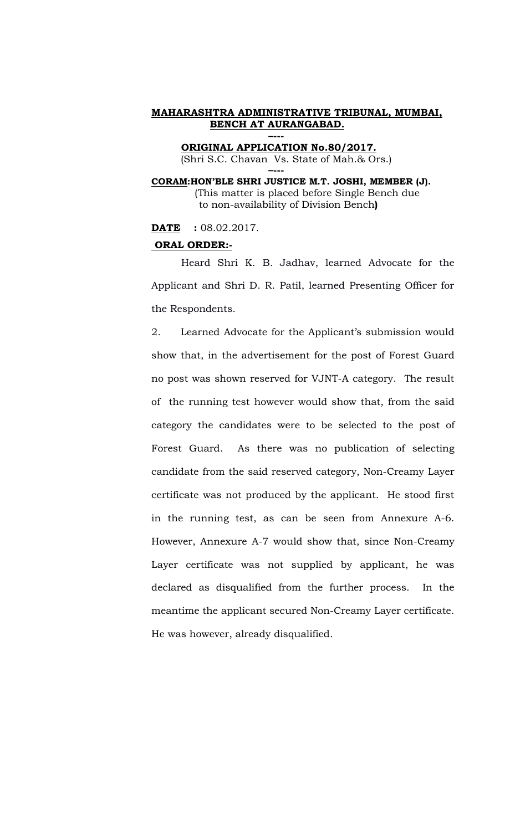**ORIGINAL APPLICATION No.80/2017.** (Shri S.C. Chavan Vs. State of Mah.& Ors.) **–---**

**–---**

**CORAM:HON'BLE SHRI JUSTICE M.T. JOSHI, MEMBER (J).** (This matter is placed before Single Bench due to non-availability of Division Bench**)**

**DATE :** 08.02.2017.

#### **ORAL ORDER:-**

Heard Shri K. B. Jadhav, learned Advocate for the Applicant and Shri D. R. Patil, learned Presenting Officer for the Respondents.

2. Learned Advocate for the Applicant's submission would show that, in the advertisement for the post of Forest Guard no post was shown reserved for VJNT-A category. The result of the running test however would show that, from the said category the candidates were to be selected to the post of Forest Guard. As there was no publication of selecting candidate from the said reserved category, Non-Creamy Layer certificate was not produced by the applicant. He stood first in the running test, as can be seen from Annexure A-6. However, Annexure A-7 would show that, since Non-Creamy Layer certificate was not supplied by applicant, he was declared as disqualified from the further process. In the meantime the applicant secured Non-Creamy Layer certificate. He was however, already disqualified.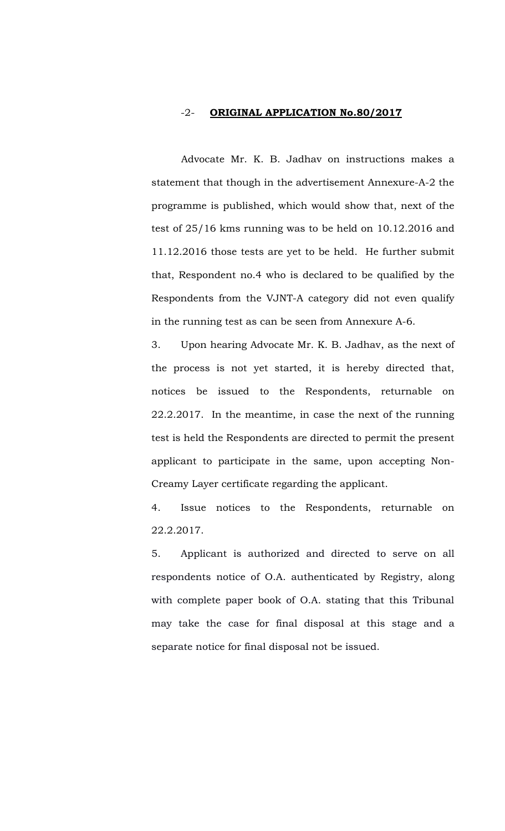#### -2- **ORIGINAL APPLICATION No.80/2017**

Advocate Mr. K. B. Jadhav on instructions makes a statement that though in the advertisement Annexure-A-2 the programme is published, which would show that, next of the test of 25/16 kms running was to be held on 10.12.2016 and 11.12.2016 those tests are yet to be held. He further submit that, Respondent no.4 who is declared to be qualified by the Respondents from the VJNT-A category did not even qualify in the running test as can be seen from Annexure A-6.

3. Upon hearing Advocate Mr. K. B. Jadhav, as the next of the process is not yet started, it is hereby directed that, notices be issued to the Respondents, returnable on 22.2.2017. In the meantime, in case the next of the running test is held the Respondents are directed to permit the present applicant to participate in the same, upon accepting Non-Creamy Layer certificate regarding the applicant.

4. Issue notices to the Respondents, returnable on 22.2.2017.

5. Applicant is authorized and directed to serve on all respondents notice of O.A. authenticated by Registry, along with complete paper book of O.A. stating that this Tribunal may take the case for final disposal at this stage and a separate notice for final disposal not be issued.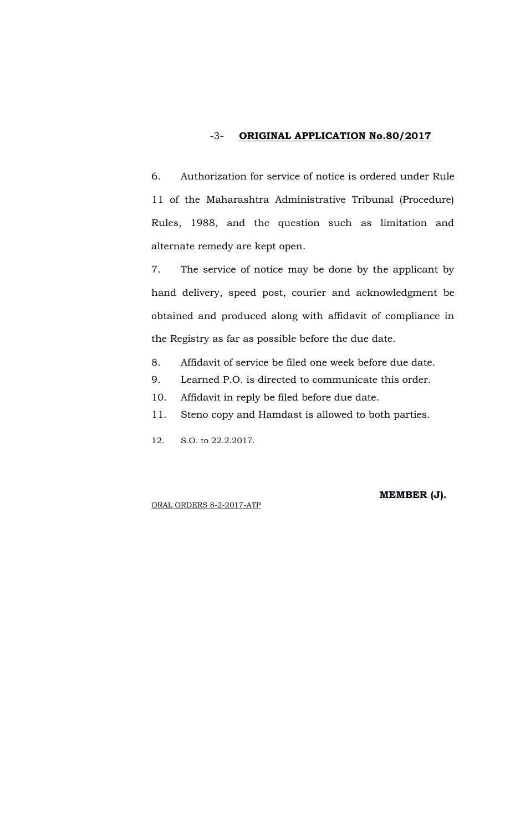# -3- **ORIGINAL APPLICATION No.80/2017**

6. Authorization for service of notice is ordered under Rule 11 of the Maharashtra Administrative Tribunal (Procedure) Rules, 1988, and the question such as limitation and alternate remedy are kept open.

7. The service of notice may be done by the applicant by hand delivery, speed post, courier and acknowledgment be obtained and produced along with affidavit of compliance in the Registry as far as possible before the due date.

- 8. Affidavit of service be filed one week before due date.
- 9. Learned P.O. is directed to communicate this order.
- 10. Affidavit in reply be filed before due date.
- 11. Steno copy and Hamdast is allowed to both parties.
- 12. S.O. to 22.2.2017.

ORAL ORDERS 8-2-2017-ATP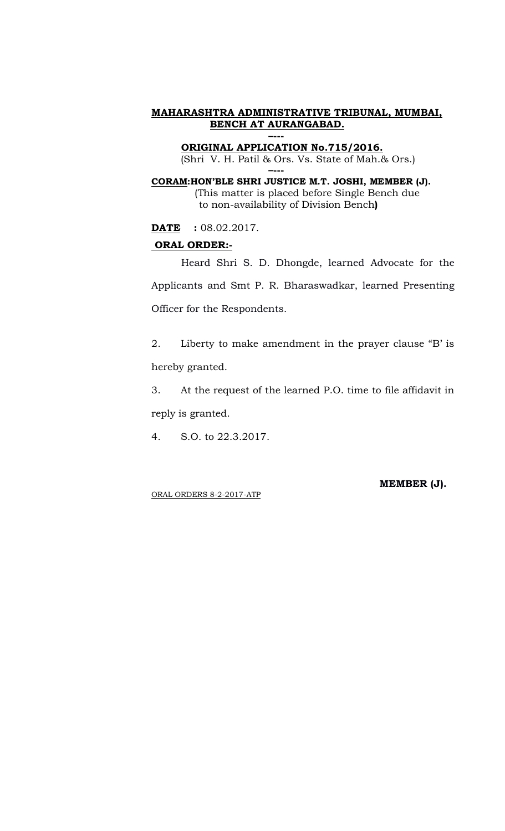**ORIGINAL APPLICATION No.715/2016.** (Shri V. H. Patil & Ors. Vs. State of Mah.& Ors.)

**–--- CORAM:HON'BLE SHRI JUSTICE M.T. JOSHI, MEMBER (J).** (This matter is placed before Single Bench due to non-availability of Division Bench**)**

**DATE :** 08.02.2017.

#### **ORAL ORDER:-**

Heard Shri S. D. Dhongde, learned Advocate for the Applicants and Smt P. R. Bharaswadkar, learned Presenting Officer for the Respondents.

2. Liberty to make amendment in the prayer clause "B' is hereby granted.

3. At the request of the learned P.O. time to file affidavit in reply is granted.

4. S.O. to 22.3.2017.

ORAL ORDERS 8-2-2017-ATP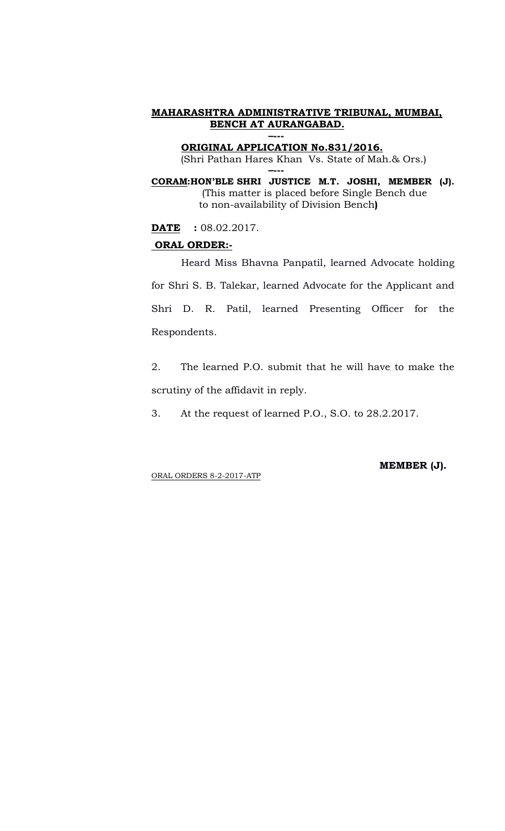**ORIGINAL APPLICATION No.831/2016.** (Shri Pathan Hares Khan Vs. State of Mah.& Ors.) **–---**

**CORAM:HON'BLE SHRI JUSTICE M.T. JOSHI, MEMBER (J).** (This matter is placed before Single Bench due to non-availability of Division Bench**)**

**DATE :** 08.02.2017.

#### **ORAL ORDER:-**

Heard Miss Bhavna Panpatil, learned Advocate holding for Shri S. B. Talekar, learned Advocate for the Applicant and Shri D. R. Patil, learned Presenting Officer for the Respondents.

2. The learned P.O. submit that he will have to make the scrutiny of the affidavit in reply.

3. At the request of learned P.O., S.O. to 28.2.2017.

ORAL ORDERS 8-2-2017-ATP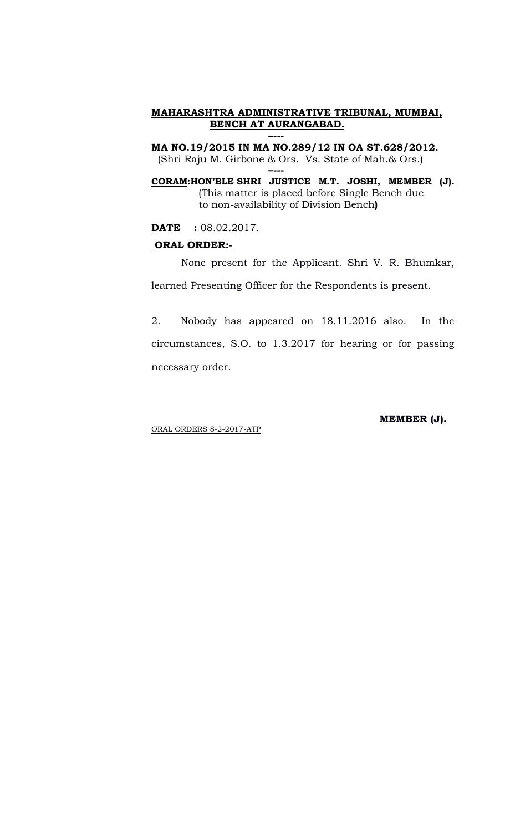**MA NO.19/2015 IN MA NO.289/12 IN OA ST.628/2012.** (Shri Raju M. Girbone & Ors. Vs. State of Mah.& Ors.)

**–---**

**CORAM:HON'BLE SHRI JUSTICE M.T. JOSHI, MEMBER (J).** (This matter is placed before Single Bench due to non-availability of Division Bench**)**

**DATE :** 08.02.2017.

#### **ORAL ORDER:-**

None present for the Applicant. Shri V. R. Bhumkar, learned Presenting Officer for the Respondents is present.

2. Nobody has appeared on 18.11.2016 also. In the circumstances, S.O. to 1.3.2017 for hearing or for passing necessary order.

ORAL ORDERS 8-2-2017-ATP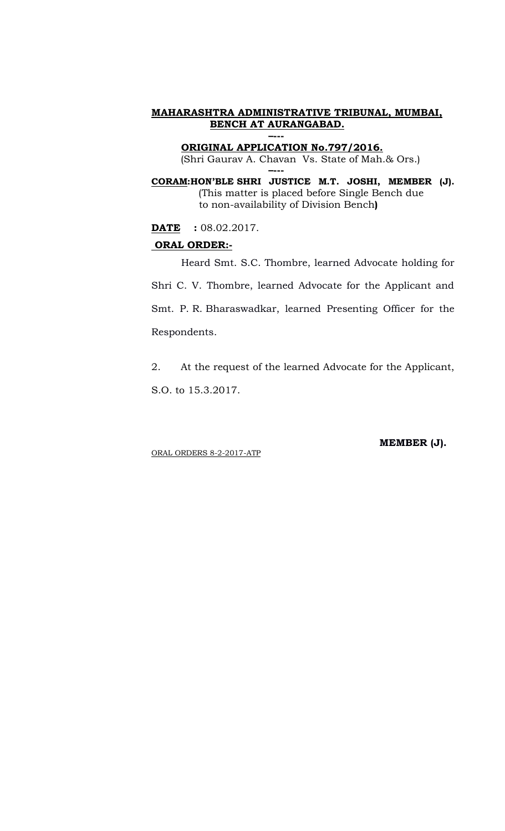**ORIGINAL APPLICATION No.797/2016.** (Shri Gaurav A. Chavan Vs. State of Mah.& Ors.) **–---**

**CORAM:HON'BLE SHRI JUSTICE M.T. JOSHI, MEMBER (J).** (This matter is placed before Single Bench due to non-availability of Division Bench**)**

**DATE** : 08.02.2017.

#### **ORAL ORDER:-**

Heard Smt. S.C. Thombre, learned Advocate holding for Shri C. V. Thombre, learned Advocate for the Applicant and Smt. P. R. Bharaswadkar, learned Presenting Officer for the Respondents.

2. At the request of the learned Advocate for the Applicant, S.O. to 15.3.2017.

ORAL ORDERS 8-2-2017-ATP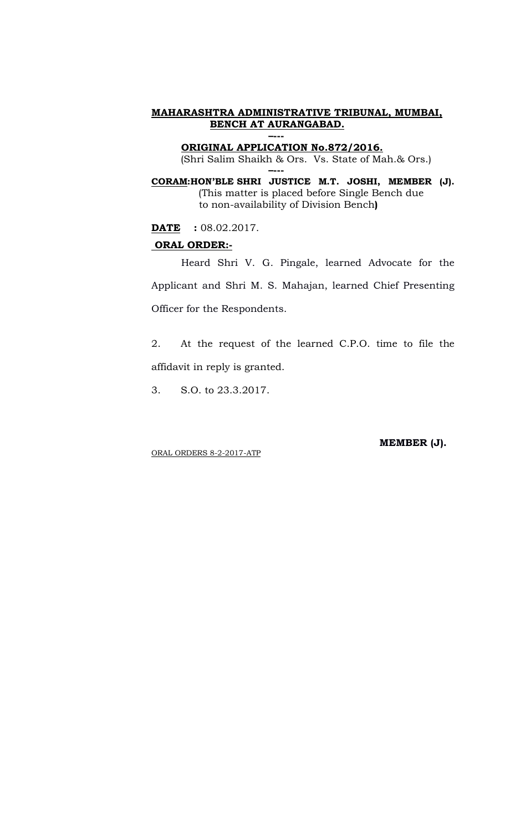**ORIGINAL APPLICATION No.872/2016.** (Shri Salim Shaikh & Ors. Vs. State of Mah.& Ors.) **–---**

**CORAM:HON'BLE SHRI JUSTICE M.T. JOSHI, MEMBER (J).** (This matter is placed before Single Bench due to non-availability of Division Bench**)**

**DATE** : 08.02.2017.

#### **ORAL ORDER:-**

Heard Shri V. G. Pingale, learned Advocate for the Applicant and Shri M. S. Mahajan, learned Chief Presenting Officer for the Respondents.

2. At the request of the learned C.P.O. time to file the affidavit in reply is granted.

3. S.O. to 23.3.2017.

 **MEMBER (J).**

ORAL ORDERS 8-2-2017-ATP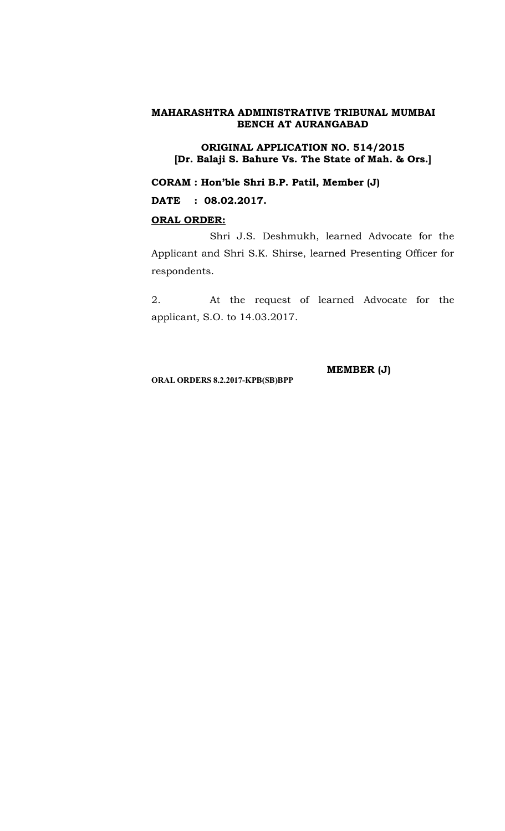**ORIGINAL APPLICATION NO. 514/2015 [Dr. Balaji S. Bahure Vs. The State of Mah. & Ors.]**

**CORAM : Hon'ble Shri B.P. Patil, Member (J)**

**DATE : 08.02.2017.**

# **ORAL ORDER:**

Shri J.S. Deshmukh, learned Advocate for the Applicant and Shri S.K. Shirse, learned Presenting Officer for respondents.

2. At the request of learned Advocate for the applicant, S.O. to 14.03.2017.

**ORAL ORDERS 8.2.2017-KPB(SB)BPP**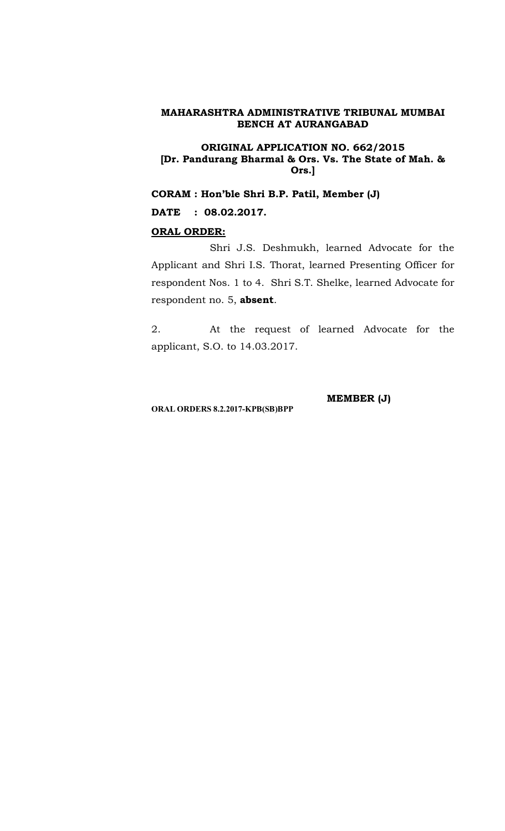#### **ORIGINAL APPLICATION NO. 662/2015 [Dr. Pandurang Bharmal & Ors. Vs. The State of Mah. & Ors.]**

**CORAM : Hon'ble Shri B.P. Patil, Member (J)**

**DATE : 08.02.2017.**

#### **ORAL ORDER:**

Shri J.S. Deshmukh, learned Advocate for the Applicant and Shri I.S. Thorat, learned Presenting Officer for respondent Nos. 1 to 4. Shri S.T. Shelke, learned Advocate for respondent no. 5, **absent**.

2. At the request of learned Advocate for the applicant, S.O. to 14.03.2017.

**ORAL ORDERS 8.2.2017-KPB(SB)BPP**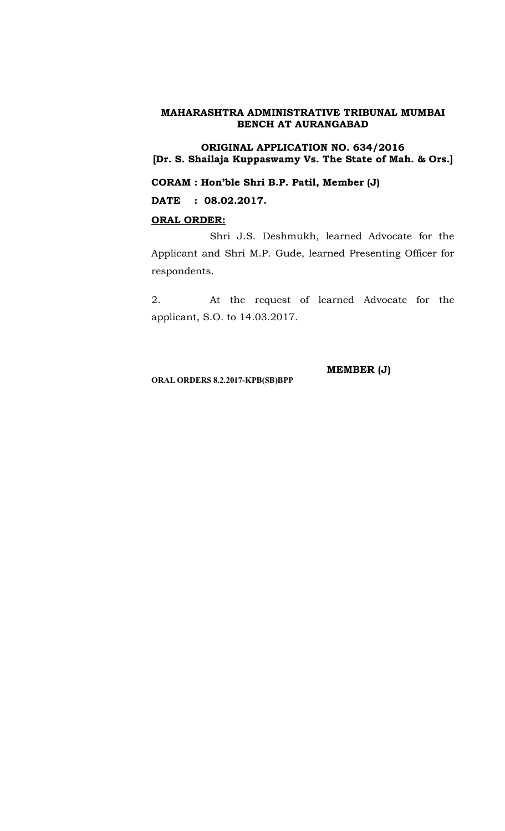**ORIGINAL APPLICATION NO. 634/2016 [Dr. S. Shailaja Kuppaswamy Vs. The State of Mah. & Ors.]**

**CORAM : Hon'ble Shri B.P. Patil, Member (J)**

**DATE : 08.02.2017.**

# **ORAL ORDER:**

Shri J.S. Deshmukh, learned Advocate for the Applicant and Shri M.P. Gude, learned Presenting Officer for respondents.

2. At the request of learned Advocate for the applicant, S.O. to 14.03.2017.

**ORAL ORDERS 8.2.2017-KPB(SB)BPP**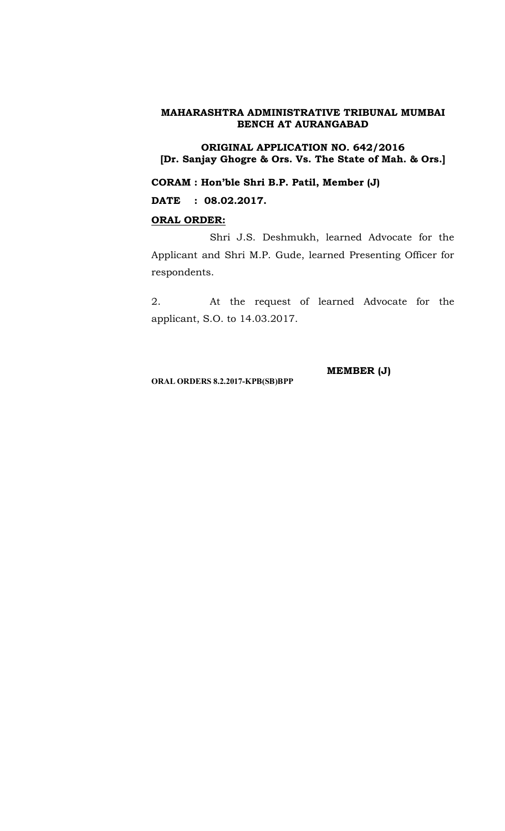**ORIGINAL APPLICATION NO. 642/2016 [Dr. Sanjay Ghogre & Ors. Vs. The State of Mah. & Ors.]**

**CORAM : Hon'ble Shri B.P. Patil, Member (J)**

**DATE : 08.02.2017.**

# **ORAL ORDER:**

Shri J.S. Deshmukh, learned Advocate for the Applicant and Shri M.P. Gude, learned Presenting Officer for respondents.

2. At the request of learned Advocate for the applicant, S.O. to 14.03.2017.

**ORAL ORDERS 8.2.2017-KPB(SB)BPP**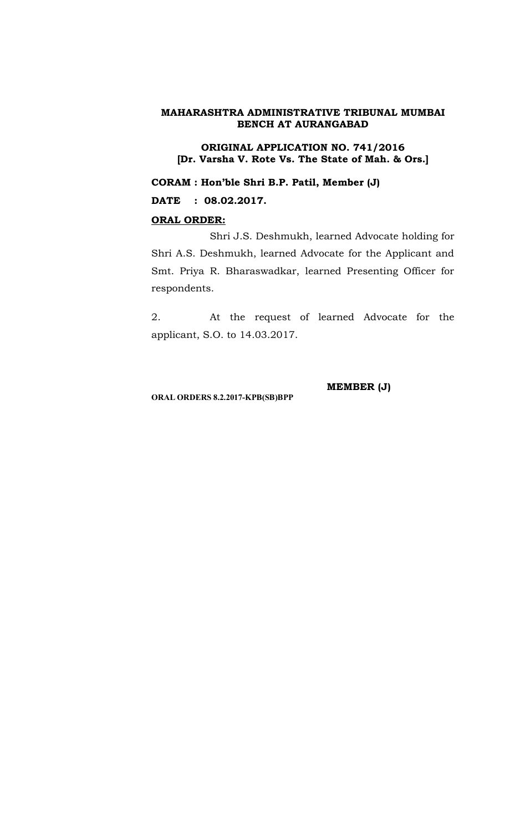**ORIGINAL APPLICATION NO. 741/2016 [Dr. Varsha V. Rote Vs. The State of Mah. & Ors.]**

**CORAM : Hon'ble Shri B.P. Patil, Member (J)**

**DATE : 08.02.2017.**

# **ORAL ORDER:**

Shri J.S. Deshmukh, learned Advocate holding for Shri A.S. Deshmukh, learned Advocate for the Applicant and Smt. Priya R. Bharaswadkar, learned Presenting Officer for respondents.

2. At the request of learned Advocate for the applicant, S.O. to 14.03.2017.

**ORAL ORDERS 8.2.2017-KPB(SB)BPP**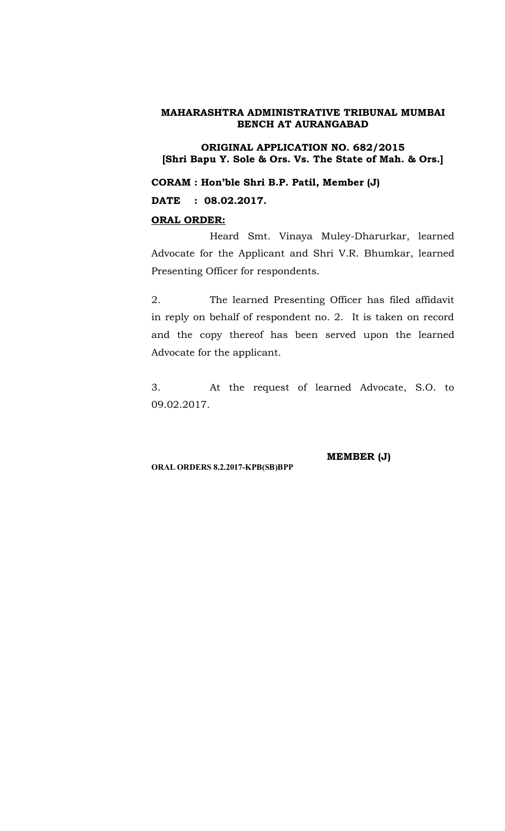**ORIGINAL APPLICATION NO. 682/2015 [Shri Bapu Y. Sole & Ors. Vs. The State of Mah. & Ors.]**

**CORAM : Hon'ble Shri B.P. Patil, Member (J)**

**DATE : 08.02.2017.**

#### **ORAL ORDER:**

Heard Smt. Vinaya Muley-Dharurkar, learned Advocate for the Applicant and Shri V.R. Bhumkar, learned Presenting Officer for respondents.

2. The learned Presenting Officer has filed affidavit in reply on behalf of respondent no. 2. It is taken on record and the copy thereof has been served upon the learned Advocate for the applicant.

3. At the request of learned Advocate, S.O. to 09.02.2017.

**ORAL ORDERS 8.2.2017-KPB(SB)BPP**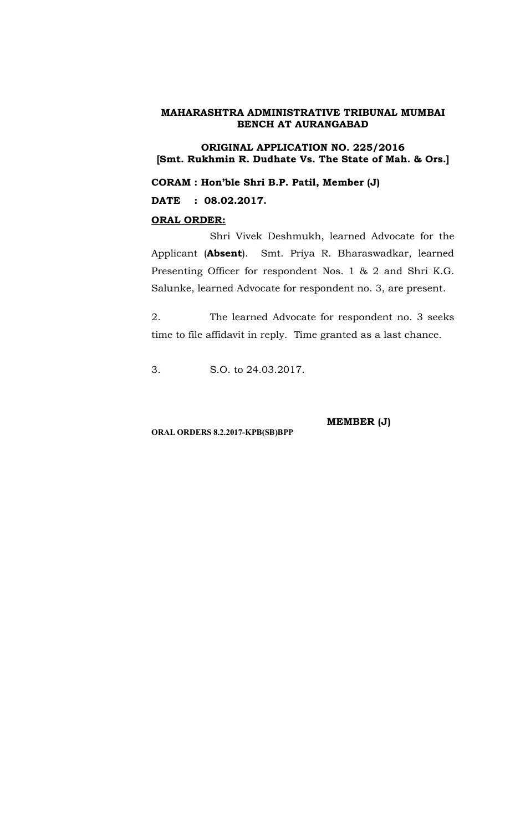**ORIGINAL APPLICATION NO. 225/2016 [Smt. Rukhmin R. Dudhate Vs. The State of Mah. & Ors.]**

**CORAM : Hon'ble Shri B.P. Patil, Member (J)**

**DATE : 08.02.2017.**

#### **ORAL ORDER:**

Shri Vivek Deshmukh, learned Advocate for the Applicant (**Absent**). Smt. Priya R. Bharaswadkar, learned Presenting Officer for respondent Nos. 1 & 2 and Shri K.G. Salunke, learned Advocate for respondent no. 3, are present.

2. The learned Advocate for respondent no. 3 seeks time to file affidavit in reply. Time granted as a last chance.

3. S.O. to 24.03.2017.

**MEMBER (J)**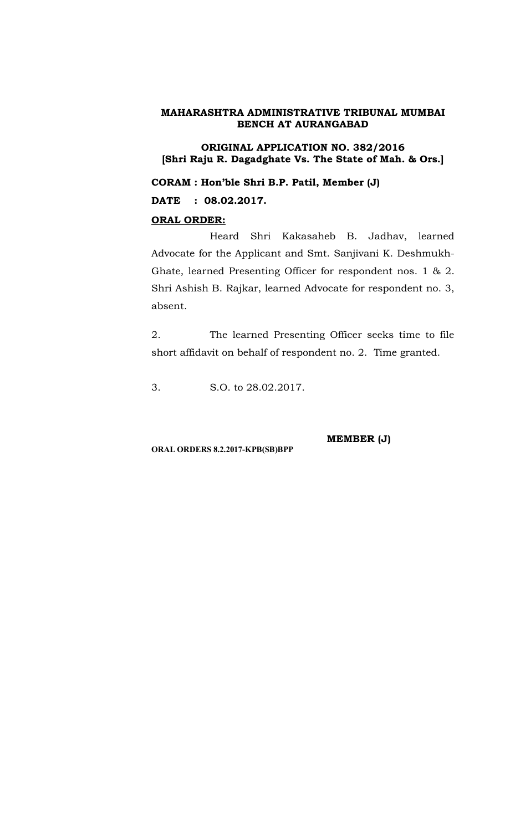**ORIGINAL APPLICATION NO. 382/2016 [Shri Raju R. Dagadghate Vs. The State of Mah. & Ors.]**

**CORAM : Hon'ble Shri B.P. Patil, Member (J) DATE : 08.02.2017.**

# **ORAL ORDER:**

Heard Shri Kakasaheb B. Jadhav, learned Advocate for the Applicant and Smt. Sanjivani K. Deshmukh-Ghate, learned Presenting Officer for respondent nos. 1 & 2. Shri Ashish B. Rajkar, learned Advocate for respondent no. 3, absent.

2. The learned Presenting Officer seeks time to file short affidavit on behalf of respondent no. 2. Time granted.

3. S.O. to 28.02.2017.

**MEMBER (J)**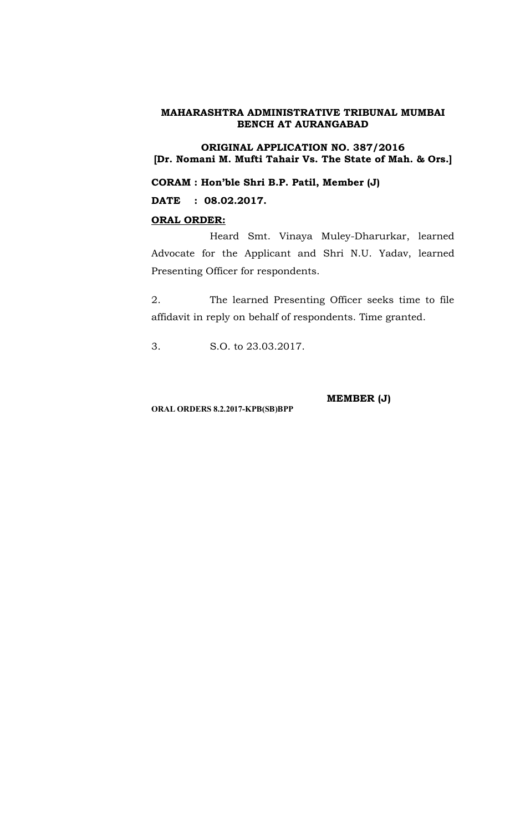**ORIGINAL APPLICATION NO. 387/2016 [Dr. Nomani M. Mufti Tahair Vs. The State of Mah. & Ors.]**

**CORAM : Hon'ble Shri B.P. Patil, Member (J)**

**DATE : 08.02.2017.**

# **ORAL ORDER:**

Heard Smt. Vinaya Muley-Dharurkar, learned Advocate for the Applicant and Shri N.U. Yadav, learned Presenting Officer for respondents.

2. The learned Presenting Officer seeks time to file affidavit in reply on behalf of respondents. Time granted.

3. S.O. to 23.03.2017.

**MEMBER (J)**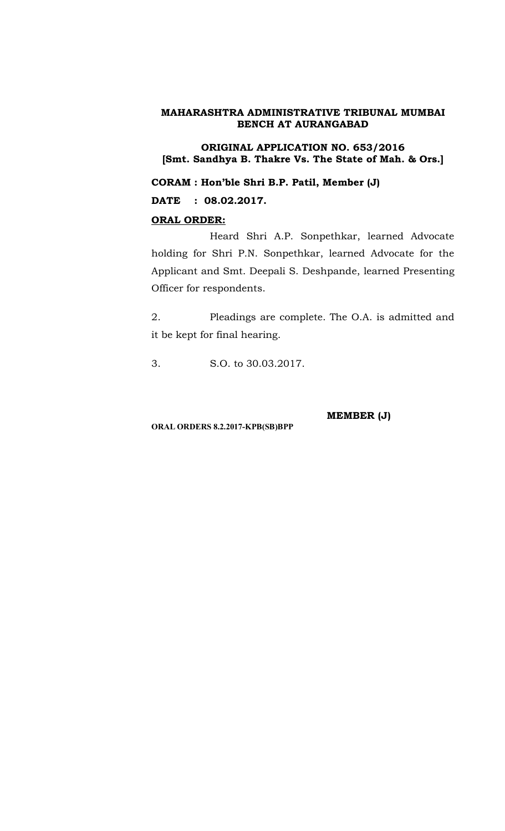**ORIGINAL APPLICATION NO. 653/2016 [Smt. Sandhya B. Thakre Vs. The State of Mah. & Ors.]**

**CORAM : Hon'ble Shri B.P. Patil, Member (J)**

**DATE : 08.02.2017.**

# **ORAL ORDER:**

Heard Shri A.P. Sonpethkar, learned Advocate holding for Shri P.N. Sonpethkar, learned Advocate for the Applicant and Smt. Deepali S. Deshpande, learned Presenting Officer for respondents.

2. Pleadings are complete. The O.A. is admitted and it be kept for final hearing.

3. S.O. to 30.03.2017.

**ORAL ORDERS 8.2.2017-KPB(SB)BPP**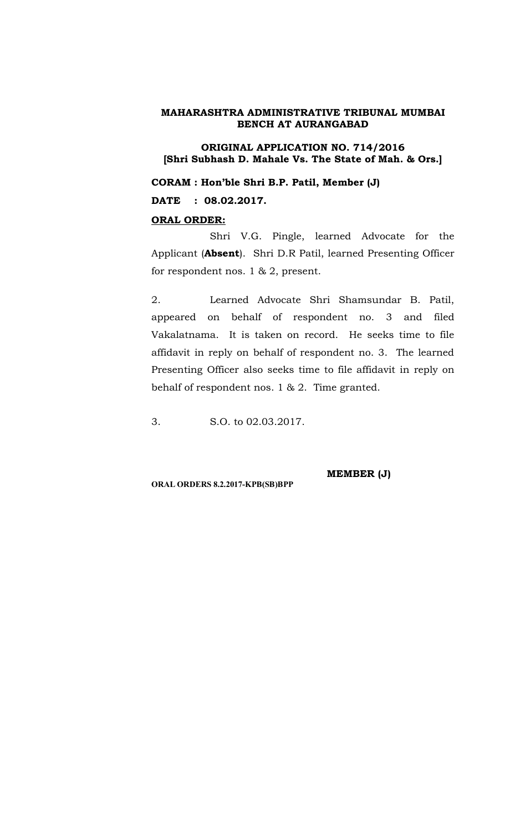**ORIGINAL APPLICATION NO. 714/2016 [Shri Subhash D. Mahale Vs. The State of Mah. & Ors.]**

**CORAM : Hon'ble Shri B.P. Patil, Member (J)**

**DATE : 08.02.2017.**

#### **ORAL ORDER:**

Shri V.G. Pingle, learned Advocate for the Applicant (**Absent**). Shri D.R Patil, learned Presenting Officer for respondent nos. 1 & 2, present.

2. Learned Advocate Shri Shamsundar B. Patil, appeared on behalf of respondent no. 3 and filed Vakalatnama. It is taken on record. He seeks time to file affidavit in reply on behalf of respondent no. 3. The learned Presenting Officer also seeks time to file affidavit in reply on behalf of respondent nos. 1 & 2. Time granted.

3. S.O. to 02.03.2017.

**MEMBER (J)**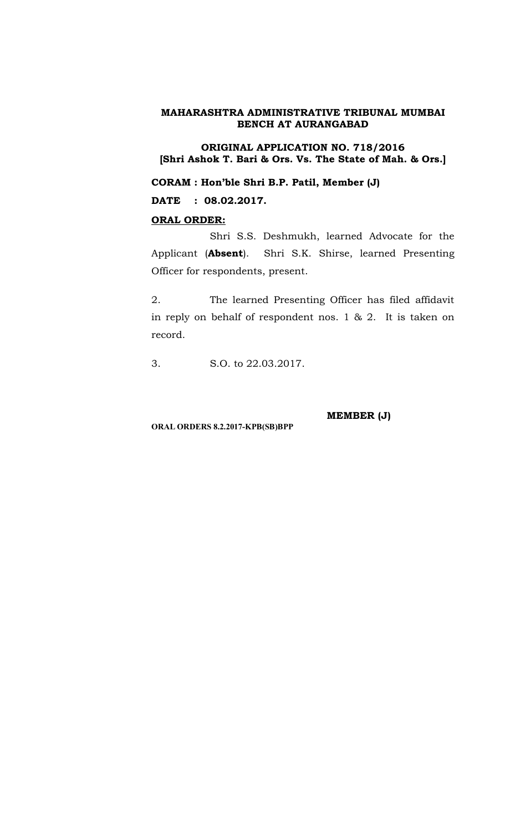**ORIGINAL APPLICATION NO. 718/2016 [Shri Ashok T. Bari & Ors. Vs. The State of Mah. & Ors.]**

**CORAM : Hon'ble Shri B.P. Patil, Member (J)**

**DATE : 08.02.2017.**

# **ORAL ORDER:**

Shri S.S. Deshmukh, learned Advocate for the Applicant (**Absent**). Shri S.K. Shirse, learned Presenting Officer for respondents, present.

2. The learned Presenting Officer has filed affidavit in reply on behalf of respondent nos. 1 & 2. It is taken on record.

3. S.O. to 22.03.2017.

**ORAL ORDERS 8.2.2017-KPB(SB)BPP**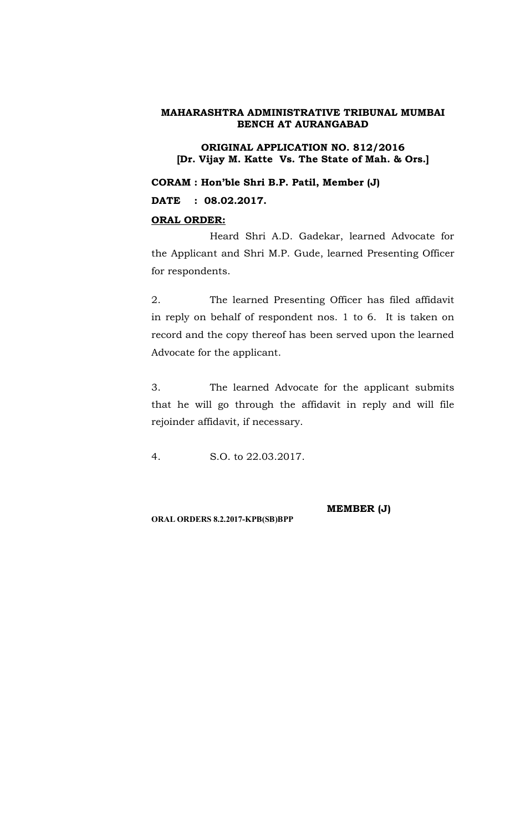**ORIGINAL APPLICATION NO. 812/2016 [Dr. Vijay M. Katte Vs. The State of Mah. & Ors.]**

**CORAM : Hon'ble Shri B.P. Patil, Member (J)**

**DATE : 08.02.2017.**

# **ORAL ORDER:**

Heard Shri A.D. Gadekar, learned Advocate for the Applicant and Shri M.P. Gude, learned Presenting Officer for respondents.

2. The learned Presenting Officer has filed affidavit in reply on behalf of respondent nos. 1 to 6. It is taken on record and the copy thereof has been served upon the learned Advocate for the applicant.

3. The learned Advocate for the applicant submits that he will go through the affidavit in reply and will file rejoinder affidavit, if necessary.

4. S.O. to 22.03.2017.

**MEMBER (J)**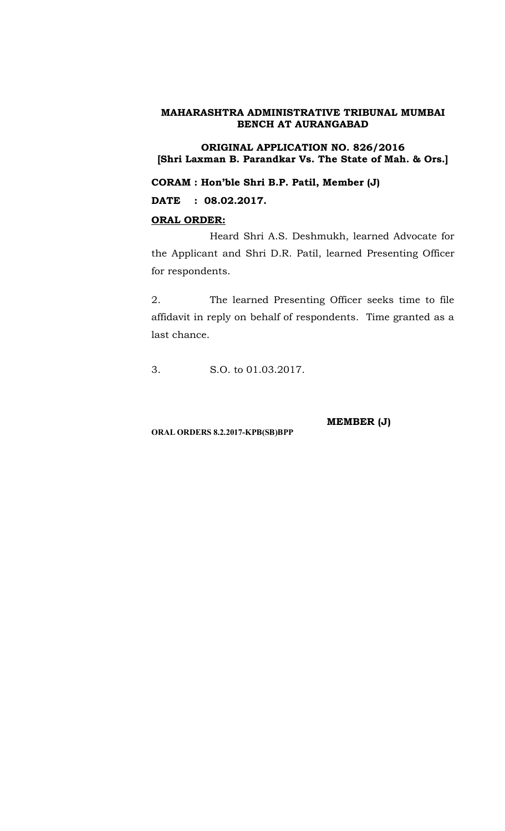**ORIGINAL APPLICATION NO. 826/2016 [Shri Laxman B. Parandkar Vs. The State of Mah. & Ors.]**

**CORAM : Hon'ble Shri B.P. Patil, Member (J)**

**DATE : 08.02.2017.**

# **ORAL ORDER:**

Heard Shri A.S. Deshmukh, learned Advocate for the Applicant and Shri D.R. Patil, learned Presenting Officer for respondents.

2. The learned Presenting Officer seeks time to file affidavit in reply on behalf of respondents. Time granted as a last chance.

3. S.O. to 01.03.2017.

**ORAL ORDERS 8.2.2017-KPB(SB)BPP**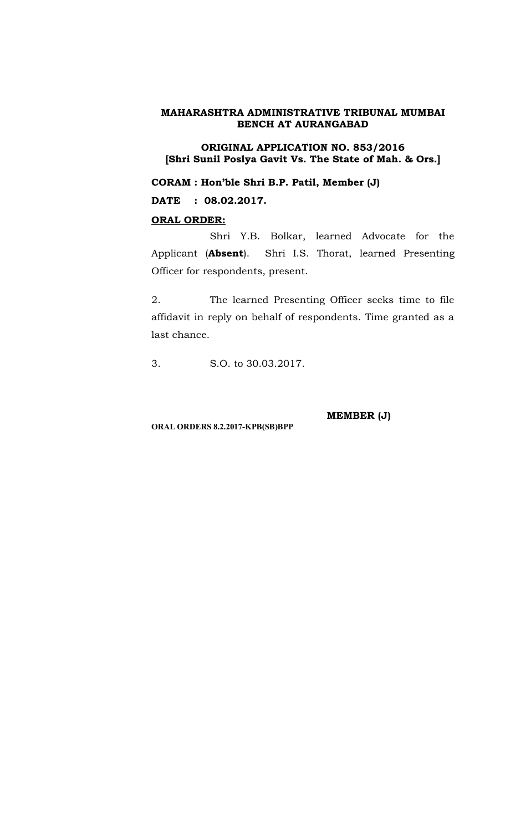**ORIGINAL APPLICATION NO. 853/2016 [Shri Sunil Poslya Gavit Vs. The State of Mah. & Ors.]**

**CORAM : Hon'ble Shri B.P. Patil, Member (J)**

**DATE : 08.02.2017.**

# **ORAL ORDER:**

Shri Y.B. Bolkar, learned Advocate for the Applicant (**Absent**). Shri I.S. Thorat, learned Presenting Officer for respondents, present.

2. The learned Presenting Officer seeks time to file affidavit in reply on behalf of respondents. Time granted as a last chance.

3. S.O. to 30.03.2017.

**ORAL ORDERS 8.2.2017-KPB(SB)BPP**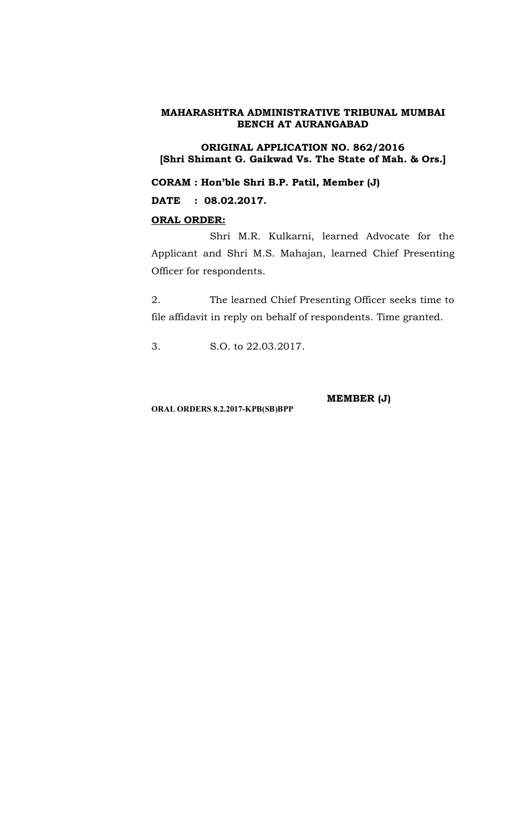**ORIGINAL APPLICATION NO. 862/2016 [Shri Shimant G. Gaikwad Vs. The State of Mah. & Ors.]**

**CORAM : Hon'ble Shri B.P. Patil, Member (J)**

**DATE : 08.02.2017.**

# **ORAL ORDER:**

Shri M.R. Kulkarni, learned Advocate for the Applicant and Shri M.S. Mahajan, learned Chief Presenting Officer for respondents.

2. The learned Chief Presenting Officer seeks time to file affidavit in reply on behalf of respondents. Time granted.

3. S.O. to 22.03.2017.

**MEMBER (J)**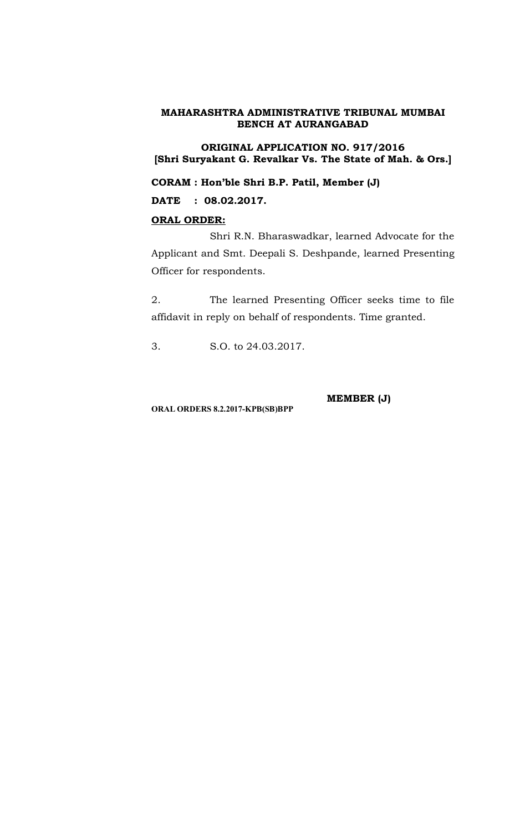**ORIGINAL APPLICATION NO. 917/2016 [Shri Suryakant G. Revalkar Vs. The State of Mah. & Ors.]**

**CORAM : Hon'ble Shri B.P. Patil, Member (J)**

**DATE : 08.02.2017.**

# **ORAL ORDER:**

Shri R.N. Bharaswadkar, learned Advocate for the Applicant and Smt. Deepali S. Deshpande, learned Presenting Officer for respondents.

2. The learned Presenting Officer seeks time to file affidavit in reply on behalf of respondents. Time granted.

3. S.O. to 24.03.2017.

**ORAL ORDERS 8.2.2017-KPB(SB)BPP**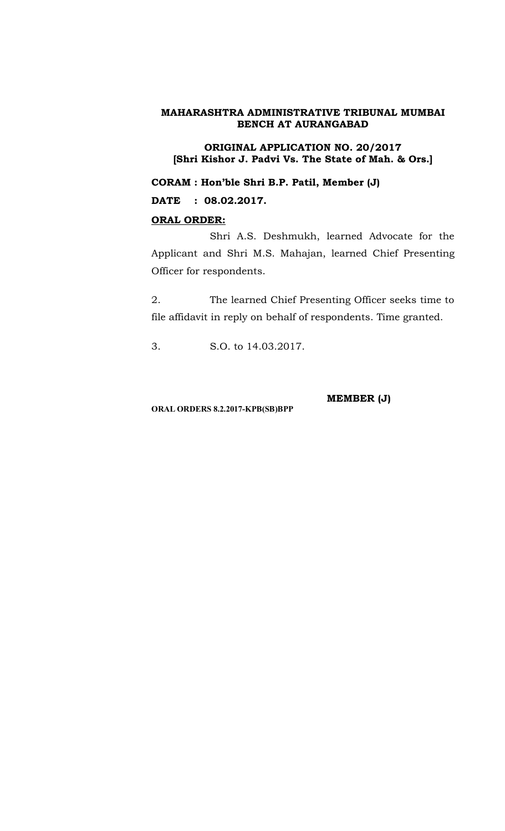**ORIGINAL APPLICATION NO. 20/2017 [Shri Kishor J. Padvi Vs. The State of Mah. & Ors.]**

**CORAM : Hon'ble Shri B.P. Patil, Member (J)**

**DATE : 08.02.2017.**

# **ORAL ORDER:**

Shri A.S. Deshmukh, learned Advocate for the Applicant and Shri M.S. Mahajan, learned Chief Presenting Officer for respondents.

2. The learned Chief Presenting Officer seeks time to file affidavit in reply on behalf of respondents. Time granted.

3. S.O. to 14.03.2017.

**MEMBER (J)**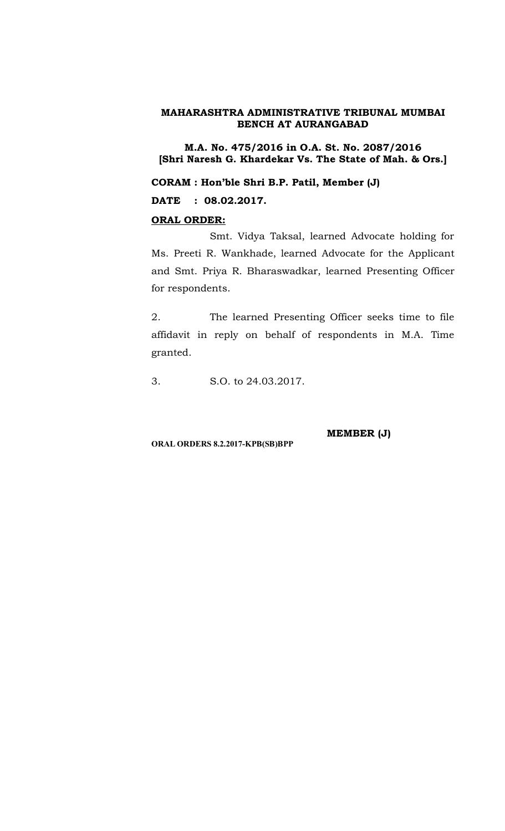**M.A. No. 475/2016 in O.A. St. No. 2087/2016 [Shri Naresh G. Khardekar Vs. The State of Mah. & Ors.]**

**CORAM : Hon'ble Shri B.P. Patil, Member (J)**

**DATE : 08.02.2017.**

#### **ORAL ORDER:**

Smt. Vidya Taksal, learned Advocate holding for Ms. Preeti R. Wankhade, learned Advocate for the Applicant and Smt. Priya R. Bharaswadkar, learned Presenting Officer for respondents.

2. The learned Presenting Officer seeks time to file affidavit in reply on behalf of respondents in M.A. Time granted.

3. S.O. to 24.03.2017.

**MEMBER (J)**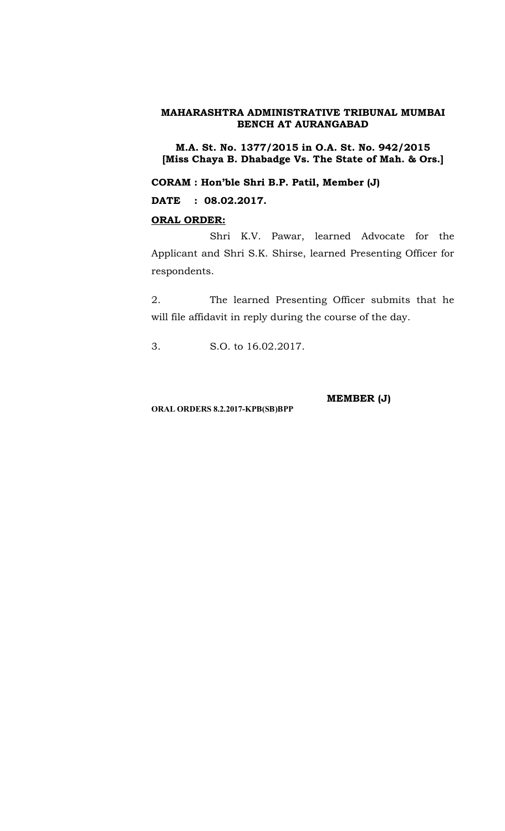**M.A. St. No. 1377/2015 in O.A. St. No. 942/2015 [Miss Chaya B. Dhabadge Vs. The State of Mah. & Ors.]**

**CORAM : Hon'ble Shri B.P. Patil, Member (J)**

**DATE : 08.02.2017.**

# **ORAL ORDER:**

Shri K.V. Pawar, learned Advocate for the Applicant and Shri S.K. Shirse, learned Presenting Officer for respondents.

2. The learned Presenting Officer submits that he will file affidavit in reply during the course of the day.

3. S.O. to 16.02.2017.

**MEMBER (J)**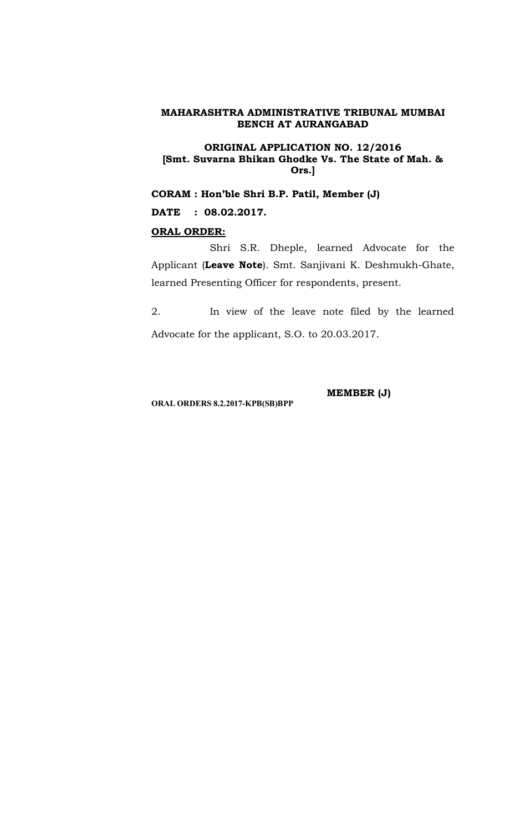#### **ORIGINAL APPLICATION NO. 12/2016 [Smt. Suvarna Bhikan Ghodke Vs. The State of Mah. & Ors.]**

**CORAM : Hon'ble Shri B.P. Patil, Member (J)**

**DATE : 08.02.2017.**

#### **ORAL ORDER:**

Shri S.R. Dheple, learned Advocate for the Applicant (**Leave Note**). Smt. Sanjivani K. Deshmukh-Ghate, learned Presenting Officer for respondents, present.

2. In view of the leave note filed by the learned Advocate for the applicant, S.O. to 20.03.2017.

**ORAL ORDERS 8.2.2017-KPB(SB)BPP**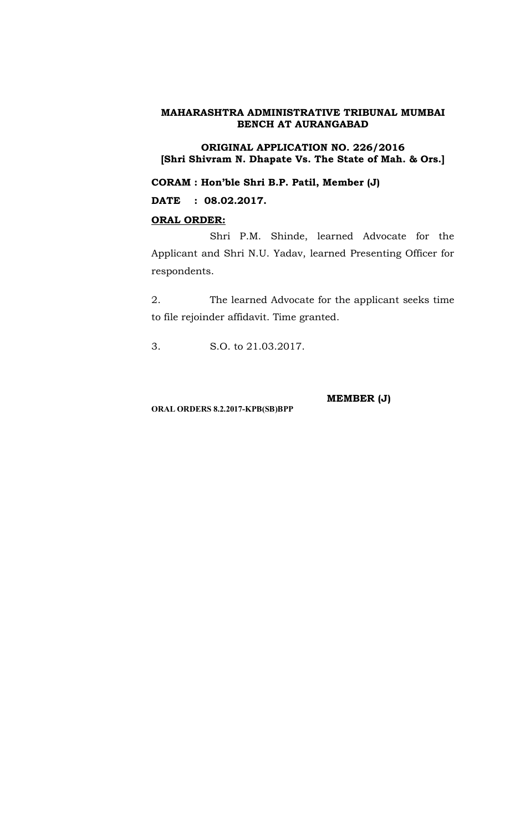**ORIGINAL APPLICATION NO. 226/2016 [Shri Shivram N. Dhapate Vs. The State of Mah. & Ors.]**

**CORAM : Hon'ble Shri B.P. Patil, Member (J)**

**DATE : 08.02.2017.**

# **ORAL ORDER:**

Shri P.M. Shinde, learned Advocate for the Applicant and Shri N.U. Yadav, learned Presenting Officer for respondents.

2. The learned Advocate for the applicant seeks time to file rejoinder affidavit. Time granted.

3. S.O. to 21.03.2017.

**MEMBER (J)**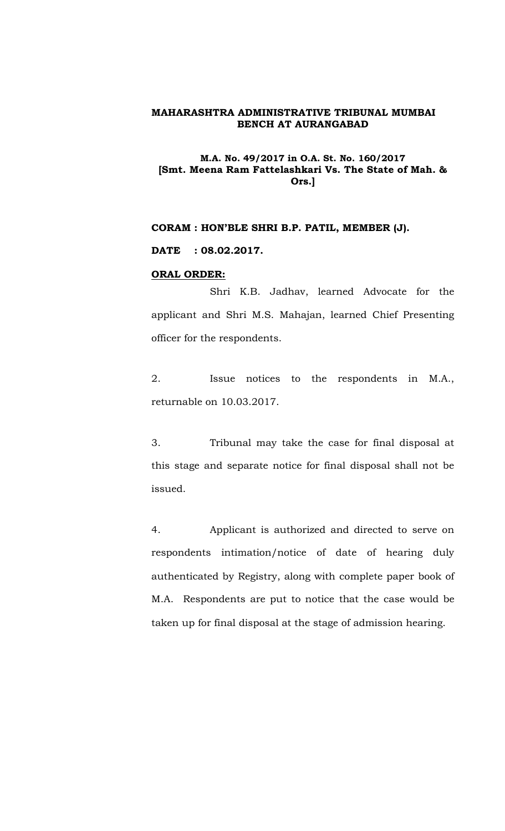# **M.A. No. 49/2017 in O.A. St. No. 160/2017 [Smt. Meena Ram Fattelashkari Vs. The State of Mah. & Ors.]**

# **CORAM : HON'BLE SHRI B.P. PATIL, MEMBER (J).**

**DATE : 08.02.2017.**

#### **ORAL ORDER:**

Shri K.B. Jadhav, learned Advocate for the applicant and Shri M.S. Mahajan, learned Chief Presenting officer for the respondents.

2. Issue notices to the respondents in M.A., returnable on 10.03.2017.

3. Tribunal may take the case for final disposal at this stage and separate notice for final disposal shall not be issued.

4. Applicant is authorized and directed to serve on respondents intimation/notice of date of hearing duly authenticated by Registry, along with complete paper book of M.A. Respondents are put to notice that the case would be taken up for final disposal at the stage of admission hearing.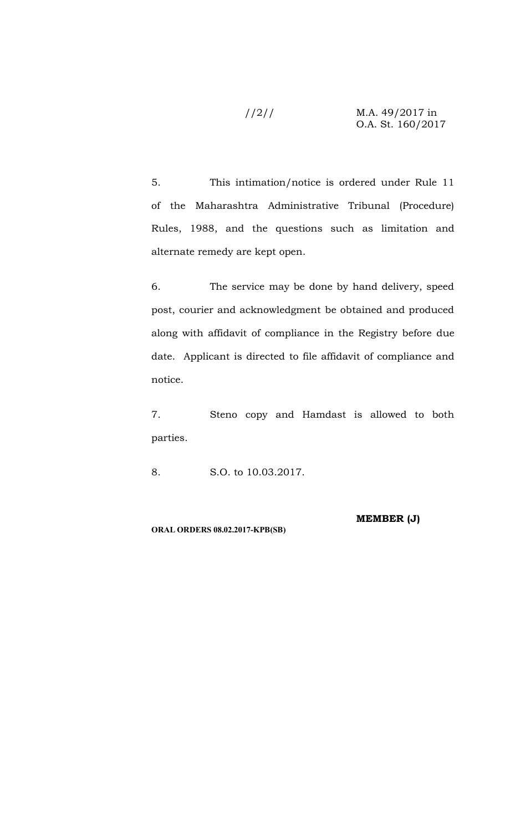//2// M.A. 49/2017 in O.A. St. 160/2017

5. This intimation/notice is ordered under Rule 11 of the Maharashtra Administrative Tribunal (Procedure) Rules, 1988, and the questions such as limitation and alternate remedy are kept open.

6. The service may be done by hand delivery, speed post, courier and acknowledgment be obtained and produced along with affidavit of compliance in the Registry before due date. Applicant is directed to file affidavit of compliance and notice.

7. Steno copy and Hamdast is allowed to both parties.

8. S.O. to 10.03.2017.

**ORAL ORDERS 08.02.2017-KPB(SB)**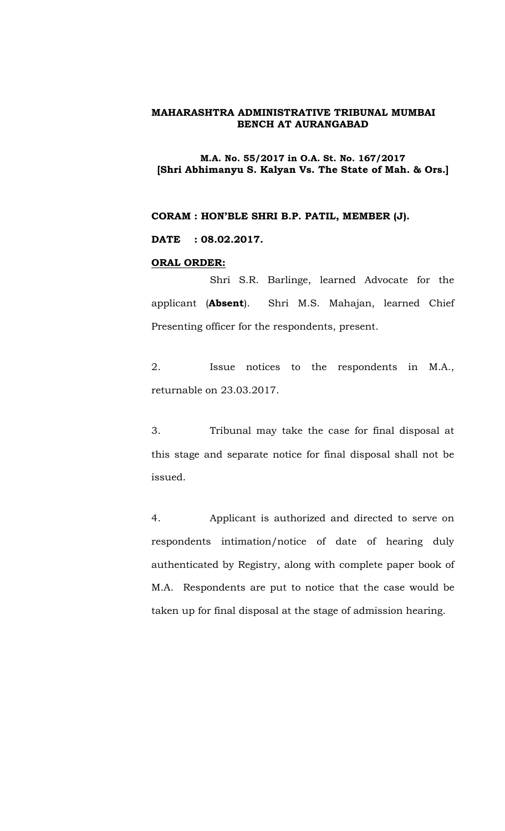#### **M.A. No. 55/2017 in O.A. St. No. 167/2017 [Shri Abhimanyu S. Kalyan Vs. The State of Mah. & Ors.]**

**CORAM : HON'BLE SHRI B.P. PATIL, MEMBER (J).**

**DATE : 08.02.2017.**

#### **ORAL ORDER:**

Shri S.R. Barlinge, learned Advocate for the applicant (**Absent**). Shri M.S. Mahajan, learned Chief Presenting officer for the respondents, present.

2. Issue notices to the respondents in M.A., returnable on 23.03.2017.

3. Tribunal may take the case for final disposal at this stage and separate notice for final disposal shall not be issued.

4. Applicant is authorized and directed to serve on respondents intimation/notice of date of hearing duly authenticated by Registry, along with complete paper book of M.A. Respondents are put to notice that the case would be taken up for final disposal at the stage of admission hearing.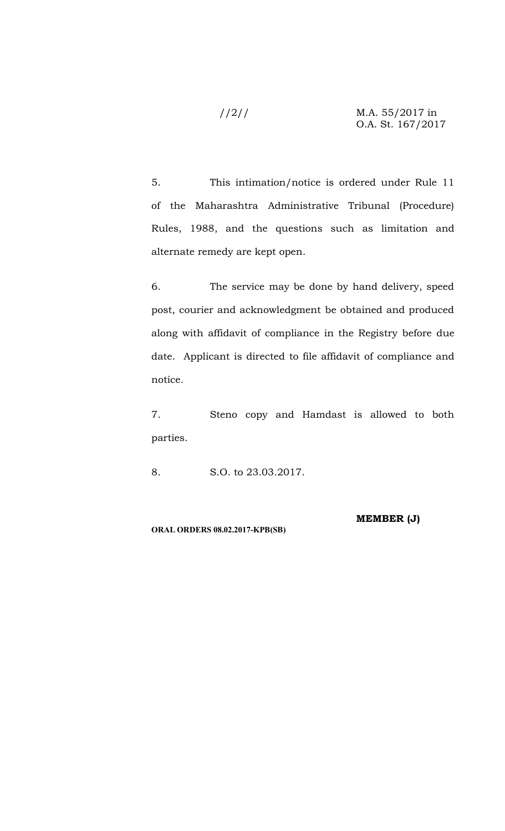#### //2// M.A. 55/2017 in O.A. St. 167/2017

5. This intimation/notice is ordered under Rule 11 of the Maharashtra Administrative Tribunal (Procedure) Rules, 1988, and the questions such as limitation and alternate remedy are kept open.

6. The service may be done by hand delivery, speed post, courier and acknowledgment be obtained and produced along with affidavit of compliance in the Registry before due date. Applicant is directed to file affidavit of compliance and notice.

7. Steno copy and Hamdast is allowed to both parties.

8. S.O. to 23.03.2017.

**ORAL ORDERS 08.02.2017-KPB(SB)**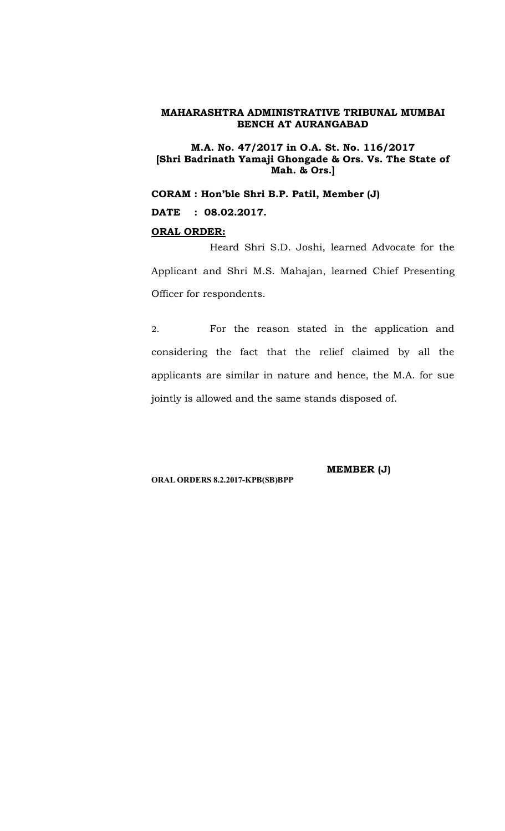**M.A. No. 47/2017 in O.A. St. No. 116/2017 [Shri Badrinath Yamaji Ghongade & Ors. Vs. The State of Mah. & Ors.]**

**CORAM : Hon'ble Shri B.P. Patil, Member (J) DATE : 08.02.2017.**

# **ORAL ORDER:**

Heard Shri S.D. Joshi, learned Advocate for the Applicant and Shri M.S. Mahajan, learned Chief Presenting Officer for respondents.

2. For the reason stated in the application and considering the fact that the relief claimed by all the applicants are similar in nature and hence, the M.A. for sue jointly is allowed and the same stands disposed of.

**ORAL ORDERS 8.2.2017-KPB(SB)BPP**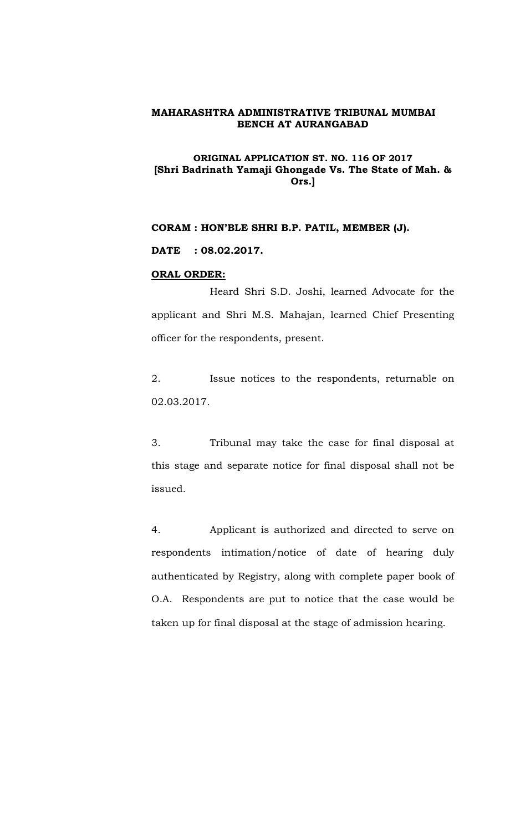# **ORIGINAL APPLICATION ST. NO. 116 OF 2017 [Shri Badrinath Yamaji Ghongade Vs. The State of Mah. & Ors.]**

# **CORAM : HON'BLE SHRI B.P. PATIL, MEMBER (J).**

#### **DATE : 08.02.2017.**

#### **ORAL ORDER:**

Heard Shri S.D. Joshi, learned Advocate for the applicant and Shri M.S. Mahajan, learned Chief Presenting officer for the respondents, present.

2. Issue notices to the respondents, returnable on 02.03.2017.

3. Tribunal may take the case for final disposal at this stage and separate notice for final disposal shall not be issued.

4. Applicant is authorized and directed to serve on respondents intimation/notice of date of hearing duly authenticated by Registry, along with complete paper book of O.A. Respondents are put to notice that the case would be taken up for final disposal at the stage of admission hearing.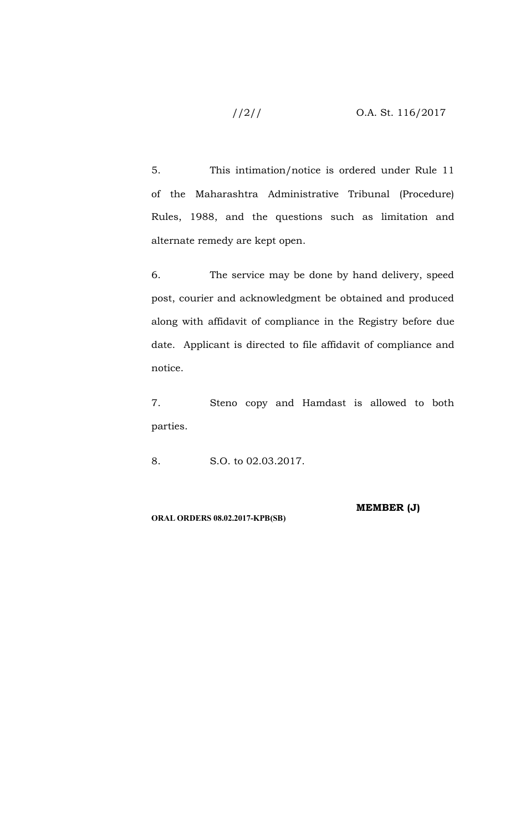//2// O.A. St. 116/2017

5. This intimation/notice is ordered under Rule 11 of the Maharashtra Administrative Tribunal (Procedure) Rules, 1988, and the questions such as limitation and alternate remedy are kept open.

6. The service may be done by hand delivery, speed post, courier and acknowledgment be obtained and produced along with affidavit of compliance in the Registry before due date. Applicant is directed to file affidavit of compliance and notice.

7. Steno copy and Hamdast is allowed to both parties.

8. S.O. to 02.03.2017.

**ORAL ORDERS 08.02.2017-KPB(SB)**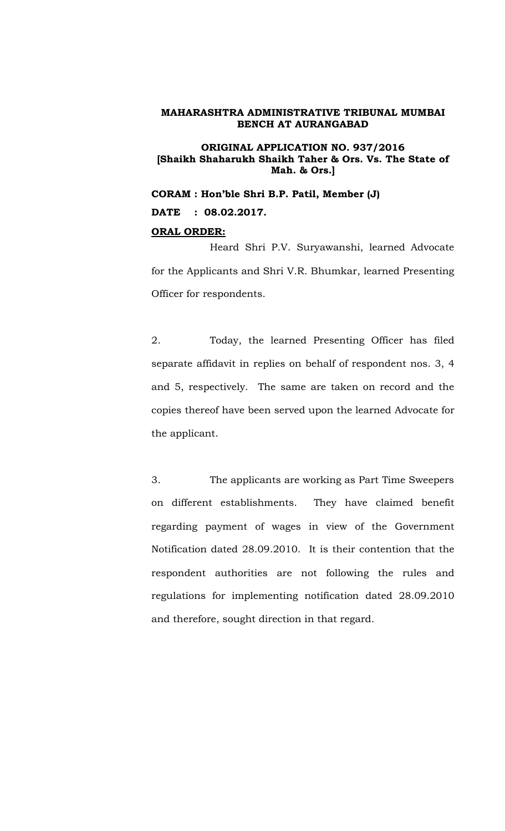#### **ORIGINAL APPLICATION NO. 937/2016 [Shaikh Shaharukh Shaikh Taher & Ors. Vs. The State of Mah. & Ors.]**

**CORAM : Hon'ble Shri B.P. Patil, Member (J) DATE : 08.02.2017.**

#### **ORAL ORDER:**

Heard Shri P.V. Suryawanshi, learned Advocate for the Applicants and Shri V.R. Bhumkar, learned Presenting Officer for respondents.

2. Today, the learned Presenting Officer has filed separate affidavit in replies on behalf of respondent nos. 3, 4 and 5, respectively. The same are taken on record and the copies thereof have been served upon the learned Advocate for the applicant.

3. The applicants are working as Part Time Sweepers on different establishments. They have claimed benefit regarding payment of wages in view of the Government Notification dated 28.09.2010. It is their contention that the respondent authorities are not following the rules and regulations for implementing notification dated 28.09.2010 and therefore, sought direction in that regard.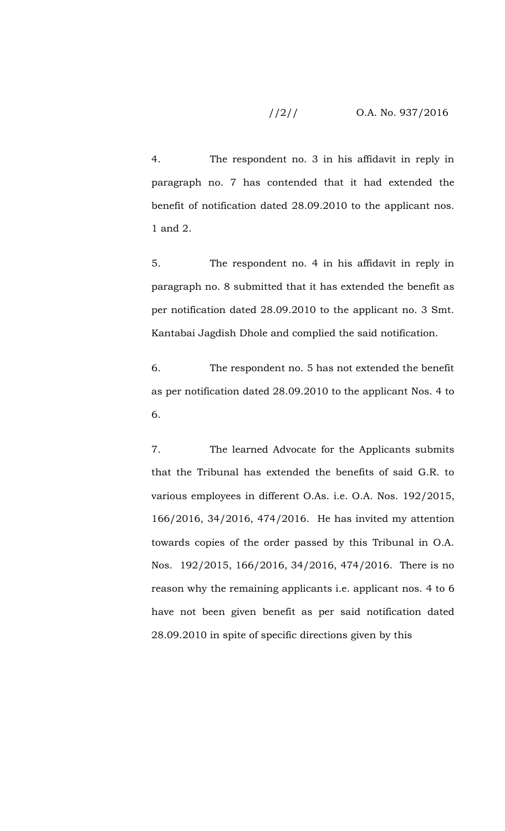# //2// O.A. No. 937/2016

4. The respondent no. 3 in his affidavit in reply in paragraph no. 7 has contended that it had extended the benefit of notification dated 28.09.2010 to the applicant nos. 1 and 2.

5. The respondent no. 4 in his affidavit in reply in paragraph no. 8 submitted that it has extended the benefit as per notification dated 28.09.2010 to the applicant no. 3 Smt. Kantabai Jagdish Dhole and complied the said notification.

6. The respondent no. 5 has not extended the benefit as per notification dated 28.09.2010 to the applicant Nos. 4 to 6.

7. The learned Advocate for the Applicants submits that the Tribunal has extended the benefits of said G.R. to various employees in different O.As. i.e. O.A. Nos. 192/2015, 166/2016, 34/2016, 474/2016. He has invited my attention towards copies of the order passed by this Tribunal in O.A. Nos. 192/2015, 166/2016, 34/2016, 474/2016. There is no reason why the remaining applicants i.e. applicant nos. 4 to 6 have not been given benefit as per said notification dated 28.09.2010 in spite of specific directions given by this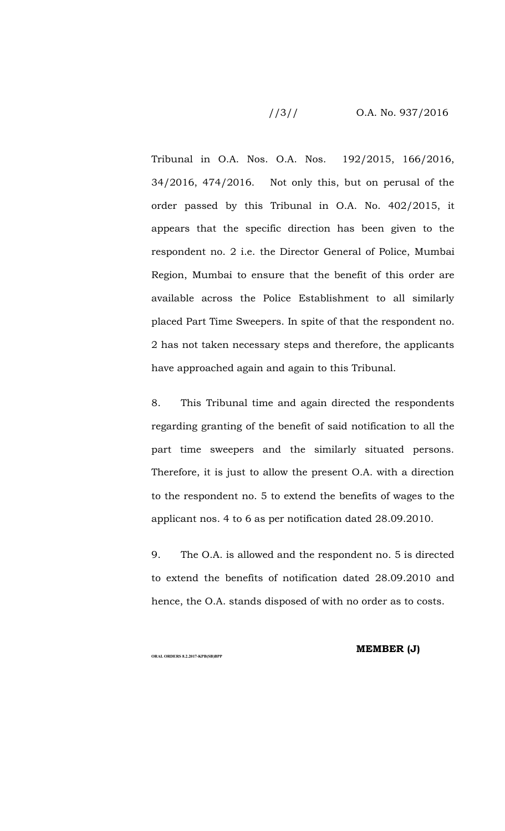# //3// O.A. No. 937/2016

Tribunal in O.A. Nos. O.A. Nos. 192/2015, 166/2016, 34/2016, 474/2016. Not only this, but on perusal of the order passed by this Tribunal in O.A. No. 402/2015, it appears that the specific direction has been given to the respondent no. 2 i.e. the Director General of Police, Mumbai Region, Mumbai to ensure that the benefit of this order are available across the Police Establishment to all similarly placed Part Time Sweepers. In spite of that the respondent no. 2 has not taken necessary steps and therefore, the applicants have approached again and again to this Tribunal.

8. This Tribunal time and again directed the respondents regarding granting of the benefit of said notification to all the part time sweepers and the similarly situated persons. Therefore, it is just to allow the present O.A. with a direction to the respondent no. 5 to extend the benefits of wages to the applicant nos. 4 to 6 as per notification dated 28.09.2010.

9. The O.A. is allowed and the respondent no. 5 is directed to extend the benefits of notification dated 28.09.2010 and hence, the O.A. stands disposed of with no order as to costs.

**ORAL ORDERS 8.2.2017-KPB(SB)BPP**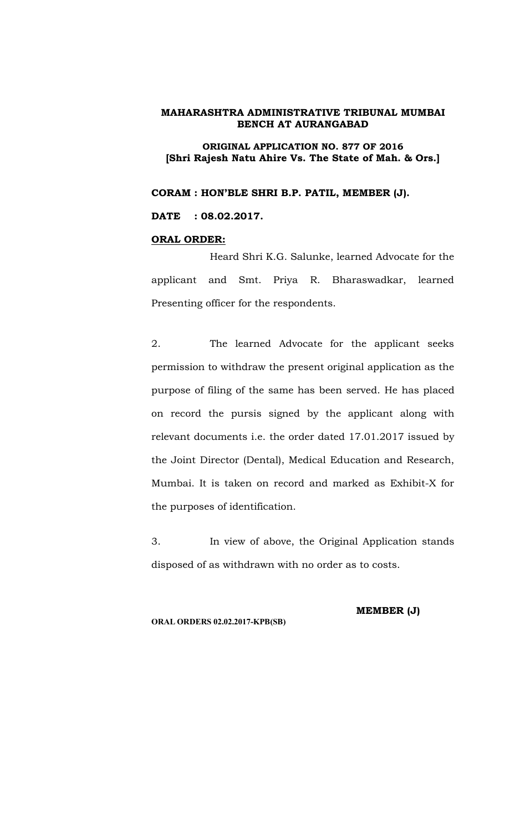#### **ORIGINAL APPLICATION NO. 877 OF 2016 [Shri Rajesh Natu Ahire Vs. The State of Mah. & Ors.]**

**CORAM : HON'BLE SHRI B.P. PATIL, MEMBER (J).**

**DATE : 08.02.2017.**

# **ORAL ORDER:**

Heard Shri K.G. Salunke, learned Advocate for the applicant and Smt. Priya R. Bharaswadkar, learned Presenting officer for the respondents.

2. The learned Advocate for the applicant seeks permission to withdraw the present original application as the purpose of filing of the same has been served. He has placed on record the pursis signed by the applicant along with relevant documents i.e. the order dated 17.01.2017 issued by the Joint Director (Dental), Medical Education and Research, Mumbai. It is taken on record and marked as Exhibit-X for the purposes of identification.

3. In view of above, the Original Application stands disposed of as withdrawn with no order as to costs.

**ORAL ORDERS 02.02.2017-KPB(SB)**